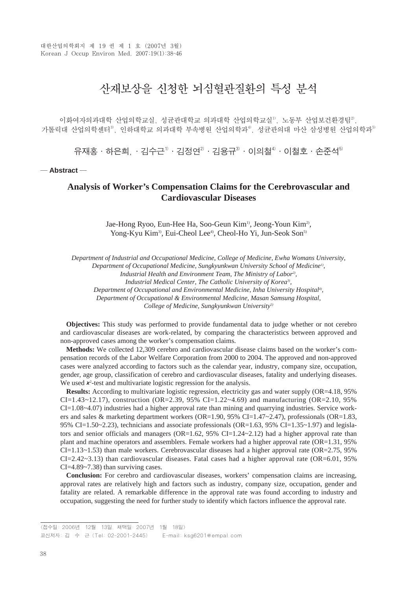# 산재보상을 신청한 뇌심혈관질환의 특성 분석

이화여자의과대학 산업의학교실, 성균관대학교 의과대학 산업의학교실<sup>1)</sup>, 노동부 산업보건환경팀<sup>3</sup>, 가톨릭대 산업의학세터3) 이하대학교 의과대학 부속병원 산업의학과4), 성균관의대 마산 삼성병원 산업의학과5)

유재홍•하은희,•김수근<sup>1)</sup>∙김정연<sup>2)</sup>∙김용규<sup>3)</sup>∙이의철<sup>4)</sup>∙이철호∙손주석<sup>5)</sup>

─ **Abstract** ─

## **Analysis of Worker's Compensation Claims for the Cerebrovascular and Cardiovascular Diseases**

Jae-Hong Ryoo, Eun-Hee Ha, Soo-Geun Kim<sup>1)</sup>, Jeong-Youn Kim<sup>2</sup>, Yong-Kyu Kim<sup>3</sup>, Eui-Cheol Lee<sup>4</sup>, Cheol-Ho Yi, Jun-Seok Son<sup>5)</sup>

*Department of Industrial and Occupational Medicine, College of Medicine, Ewha Womans University, Department of Occupational Medicine, Sungkyunkwan University School of Medicine1),*

*Industrial Health and Environment Team, The Ministry of Labor2),*

*Industrial Medical Center, The Catholic University of Korea<sup>3</sup>,* 

*Department of Occupational and Environmental Medicine, Inha University Hospital4),*

*Department of Occupational & Environmental Medicine, Masan Samsung Hospital,*

*College of Medicine, Sungkyunkwan University5)*

**Objectives:** This study was performed to provide fundamental data to judge whether or not cerebro and cardiovascular diseases are work-related, by comparing the characteristics between approved and non-approved cases among the worker's compensation claims.

**Methods:** We collected 12,309 cerebro and cardiovascular disease claims based on the worker's compensation records of the Labor Welfare Corporation from 2000 to 2004. The approved and non-approved cases were analyzed according to factors such as the calendar year, industry, company size, occupation, gender, age group, classification of cerebro and cardiovascular diseases, fatality and underlying diseases. We used  $x^2$ -test and multivariate logistic regression for the analysis.

**Results:** According to multivariate logistic regression, electricity gas and water supply (OR=4.18, 95% CI=1.43~12.17), construction (OR=2.39, 95% CI=1.22~4.69) and manufacturing (OR=2.10, 95% CI=1.08~4.07) industries had a higher approval rate than mining and quarrying industries. Service workers and sales & marketing department workers (OR=1.90, 95% CI=1.47~2.47), professionals (OR=1.83, 95% CI=1.50~2.23), technicians and associate professionals (OR=1.63, 95% CI=1.35~1.97) and legislators and senior officials and managers ( $OR=1.62$ ,  $95\%$  CI=1.24 $\sim$ 2.12) had a higher approval rate than plant and machine operators and assemblers. Female workers had a higher approval rate (OR=1.31, 95%  $CI=1.13\sim1.53$ ) than male workers. Cerebrovascular diseases had a higher approval rate (OR=2.75, 95%) CI=2.42~3.13) than cardiovascular diseases. Fatal cases had a higher approval rate (OR=6.01, 95% CI=4.89~7.38) than surviving cases.

**Conclusion:** For cerebro and cardiovascular diseases, workers' compensation claims are increasing, approval rates are relatively high and factors such as industry, company size, occupation, gender and fatality are related. A remarkable difference in the approval rate was found according to industry and occupation, suggesting the need for further study to identify which factors influence the approval rate.

<sup>&</sup>lt;접수일: 2006년 12월 13일, 채택일: 2007년 1월 18일> 교신저자: 김 수 근 (Tel: 02-2001-2445) E-mail: ksg6201@empal.com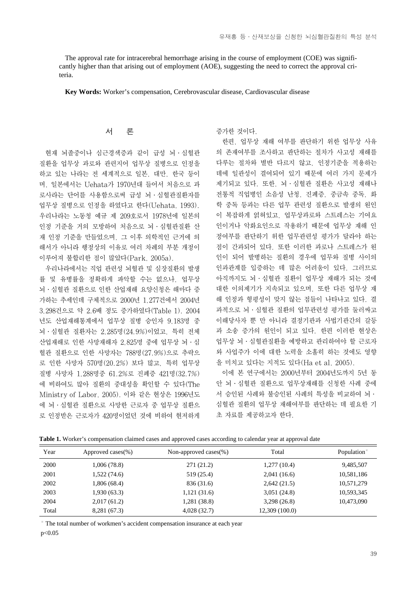The approval rate for intracerebral hemorrhage arising in the course of employment (COE) was significantly higher than that arising out of employment (AOE), suggesting the need to correct the approval criteria.

**Key Words:** Worker's compensation, Cerebrovascular disease, Cardiovascular disease

## 서 론

현재 뇌졸중이나 심근경색증과 같이 급성 뇌∙심혈관 질환을 업무상 과로와 관련지어 업무상 질병으로 인정을 하고 있는 나라는 전 세계적으로 일본, 대만, 한국 등이 며, 일본에서는 Uehata가 1970년대 들어서 처음으로 과 로사라는 단어를 사용함으로써 급성 뇌∙심혈관질환자를 업무상 질병으로 인정을 하였다고 한다(Uehata, 1993). 우리나라는 노동청 예규 제 209호로서 1978년에 일본의 인정 기준을 거의 모방하여 처음으로 뇌∙심혈관질환 산 재 인정 기준을 만들었으며, 그 이후 의학적인 근거에 의 해서가 아니라 행정상의 이유로 여러 차례의 부분 개정이 이루어져 불합리한 점이 많았다(Park, 2005a).

우리나라에서는 직업 관련성 뇌혈관 및 심장질환의 발생 률 및 유병률을 정확하게 파악할 수는 없으나, 업무상 뇌∙심혈관 질환으로 인한 산업재해 요양신청은 해마다 증 가하는 추세인데 구체적으로 2000년 1,277건에서 2004년 3,298건으로 약 2.6배 정도 증가하였다(Table 1). 2004 년도 산업재해통계에서 업무상 질병 승인자 9,183명 중 뇌∙심혈관 질환자는 2,285명(24.9%)이었고, 특히 전체 산업재해로 인한 사망재해자 2,825명 중에 업무상 뇌∙심 혈관 질환으로 인한 사망자는 788명(27.9%)으로 추락으 로 인한 사망자 570명(20.2%) 보다 많고, 특히 업무상 질병 사망자 1,288명중 61.2%로 진폐증 421명(32.7%) 에 비하여도 많아 질환의 중대성을 확인할 수 있다(The Ministry of Labor, 2005). 이와 같은 현상은 1996년도 에 뇌∙심혈관 질환으로 사망한 근로자 중 업무상 질환으 로 인정받은 근로자가 420명이었던 것에 비하여 현저하게 증가한 것이다.

한편, 업무상 재해 여부를 판단하기 위한 업무상 사유 의 존재여부를 조사하고 판단하는 절차가 사고성 재해를 다루는 절차와 별반 다르지 않고, 인정기준을 적용하는 데에 일관성이 결여되어 있기 때문에 여러 가지 문제가 제기되고 있다. 또한, 뇌∙심혈관 질환은 사고성 재해나 전통적 직업병인 소음성 난청, 진폐증, 중금속 중독, 화 학 중독 등과는 다른 업무 관련성 질환으로 발생의 원인 이 복잡하게 얽혀있고, 업무상과로와 스트레스는 기여요 인이거나 악화요인으로 작용하기 때문에 업무상 재해 인 정여부를 판단하기 위한 업무관련성 평가가 달라야 하는 점이 간과되어 있다. 또한 이러한 과로나 스트레스가 원 인이 되어 발병하는 질환의 경우에 업무와 질병 사이의 인과관계를 입증하는 데 많은 어려움이 있다. 그러므로 아직까지도 뇌∙심혈관 질환이 업무상 재해가 되는 것에 대한 이의제기가 지속되고 있으며, 또한 다른 업무상 재 해 인정과 형평성이 맞지 않는 점들이 나타나고 있다. 결 과적으로 뇌∙심혈관 질환의 업무관련성 평가를 둘러싸고 이해당사자 뿐 만 아니라 결정기관과 사법기관간의 갈등 과 소송 증가의 원인이 되고 있다. 한편 이러한 현상은 업무상 뇌∙심혈관질환을 예방하고 관리하여야 할 근로자 와 사업주가 이에 대한 노력을 소홀히 하는 것에도 영향 을 미치고 있다는 지적도 있다(Ha et al, 2005).

이에 본 연구에서는 2000년부터 2004년도까지 5년 동 안 뇌∙심혈관 질환으로 업무상재해를 신청한 사례 중에 서 승인된 사례와 불승인된 사례의 특성을 비교하여 뇌∙ 심혈관 질환의 업무상 재해여부를 판단하는 데 필요한 기 초 자료를 제공하고자 한다.

| Year  | Approved cases(%) | Non-approved cases $(\%)$ | Total          | Population <sup>*</sup> |
|-------|-------------------|---------------------------|----------------|-------------------------|
| 2000  | 1,006(78.8)       | 271 (21.2)                | 1,277(10.4)    | 9,485,507               |
| 2001  | 1,522(74.6)       | 519 (25.4)                | 2,041(16.6)    | 10,581,186              |
| 2002  | 1,806 (68.4)      | 836 (31.6)                | 2,642(21.5)    | 10,571,279              |
| 2003  | 1,930(63.3)       | 1,121(31.6)               | 3,051(24.8)    | 10,593,345              |
| 2004  | 2,017(61.2)       | 1,281 (38.8)              | 3,298(26.8)    | 10.473,090              |
| Total | 8,281 (67.3)      | 4,028(32.7)               | 12,309 (100.0) |                         |

**Table 1.** Worker's compensation claimed cases and approved cases according to calendar year at approval date

※ The total number of workmen's accident compensation insurance at each year p<0.05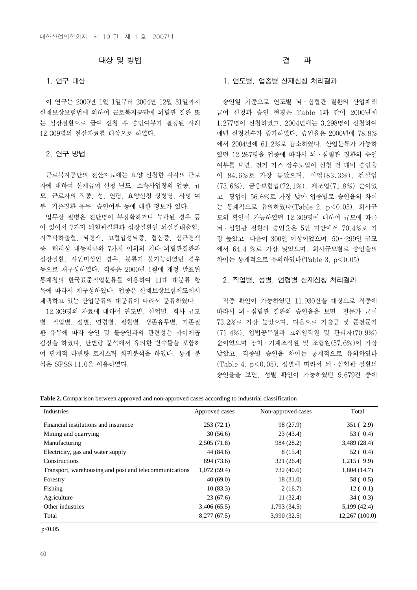## 대상 및 방법

#### 1. 연구 대상

이 연구는 2000년 1월 1일부터 2004년 12월 31일까지 산재보상보험법에 의하여 근로복지공단에 뇌혈관 질환 또 는 심장질환으로 급여 신청 후 승인여부가 결정된 사례 12,309명의 전산자료를 대상으로 하였다.

## 2. 연구 방법

근로복지공단의 전산자료에는 요양 신청한 각각의 근로 자에 대하여 산재급여 신청 년도, 소속사업장의 업종, 규 모, 근로자의 직종, 성, 연령, 요양신청 상병명, 사망 여 부, 기존질환 유무, 승인여부 등에 대한 정보가 있다.

업무상 질병은 진단명이 부정확하거나 누락된 경우 등 이 있어서 7가지 뇌혈관질환과 심장질환인 뇌실질내출혈, 지주막하출혈, 뇌경색, 고혈압성뇌증, 협심증, 심근경색 증, 해리성 대동맥류와 7가지 이외의 기타 뇌혈관질환과 심장질환, 사인미상인 경우, 분류가 불가능하였던 경우 등으로 재구성하였다. 직종은 2000년 1월에 개정 발표된 통계청의 한국표준직업분류를 이용하여 11대 대분류 항 목에 따라서 재구성하였다. 업종은 산재보상보험제도에서 채택하고 있는 산업분류의 대분류에 따라서 분류하였다.

12,309명의 자료에 대하여 연도별, 산업별, 회사 규모 별, 직업별, 성별, 연령별, 질환별, 생존유무별, 기존질 환 유무에 따라 승인 및 불승인과의 관련성은 카이제곱 검정을 하였다. 단변량 분석에서 유의한 변수들을 포함하 여 단계적 다변량 로지스틱 회귀분석을 하였다. 통계 분 석은 SPSS 11.0을 이용하였다.

## 결 과

#### 1. 연도별, 업종별 산재신청 처리결과

승인일 기준으로 연도별 뇌∙심혈관 질환의 산업재해 급여 신청과 승인 현황은 Table 1과 같이 2000년에 1,277명이 신청하였고, 2004년에는 3,298명이 신청하여 매년 신청건수가 증가하였다. 승인율은 2000년에 78.8% 에서 2004년에 61.2%로 감소하였다. 산업분류가 가능하 였던 12,267명을 업종에 따라서 뇌∙심혈관 질환의 승인 여부를 보면, 전기 가스 상수도업이 신청 건 대비 승인율 이 84.6%로 가장 높았으며, 어업(83.3%), 건설업 (73.6%), 금융보험업(72.1%), 제조업(71.8%) 순이었 고, 광업이 56.6%로 가장 낮아 업종별로 승인율의 차이 는 통계적으로 유의하였다(Table 2, p<0.05). 회사규 모의 확인이 가능하였던 12,309명에 대하여 규모에 따른 뇌∙심혈관 질환의 승인율은 5인 미만에서 70.4%로 가 장 높았고, 다음이 300인 이상이었으며, 50~299인 규모 에서 64.4 %로 가장 낮았으며, 회사규모별로 승인율의 차이는 통계적으로 유의하였다(Table 3, p<0.05)

#### 2. 직업별, 성별, 연령별 산재신청 처리결과

직종 확인이 가능하였던 11,930건을 대상으로 직종에 따라서 뇌∙심혈관 질환의 승인율을 보면, 전문가 군이 73.2%로 가장 높았으며, 다음으로 기술공 및 준전문가 (71.4%), 입법공무원과 고위임직원 및 관리자(70.9%) 순이었으며 장치∙기계조직원 및 조립원(57.6%)이 가장 낮았고, 직종별 승인율 차이는 통계적으로 유의하였다 (Table 4, p<0.05). 성별에 따라서 뇌∙심혈관 질환의 승인율을 보면, 성별 확인이 가능하였던 9,679건 중에

| Table 2. Comparison between approved and non-approved cases according to industrial classification |  |  |  |  |  |
|----------------------------------------------------------------------------------------------------|--|--|--|--|--|
|----------------------------------------------------------------------------------------------------|--|--|--|--|--|

| Industries                                             | Approved cases | Non-approved cases | Total          |
|--------------------------------------------------------|----------------|--------------------|----------------|
| Financial institutions and insurance                   | 253(72.1)      | 98 (27.9)          | 351(2.9)       |
| Mining and quarrying                                   | 30(56.6)       | 23(43.4)           | 53(0.4)        |
| Manufacturing                                          | 2,505(71.8)    | 984 (28.2)         | 3,489 (28.4)   |
| Electricity, gas and water supply                      | 44 (84.6)      | 8 (15.4)           | 52(0.4)        |
| Constructions                                          | 894 (73.6)     | 321(26.4)          | 1,215(9.9)     |
| Transport, warehousing and post and telecommunications | 1,072(59.4)    | 732 (40.6)         | 1,804(14.7)    |
| Forestry                                               | 40(69.0)       | 18(31.0)           | 58 ( 0.5)      |
| Fishing                                                | 10(83.3)       | 2(16.7)            | 12(0.1)        |
| Agriculture                                            | 23(67.6)       | 11(32.4)           | 34(0.3)        |
| Other industries                                       | 3,406(65.5)    | 1,793(34.5)        | 5,199(42.4)    |
| Total                                                  | 8,277(67.5)    | 3,990(32.5)        | 12,267 (100.0) |

p<0.05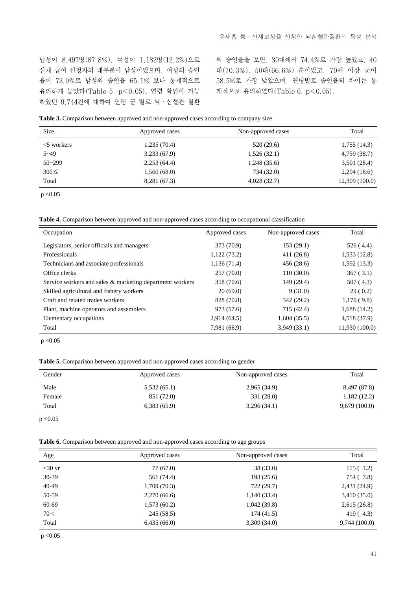남성이 8,497명(87.8%), 여성이 1,182명(12.2%)으로 산재 급여 신청자의 대부분이 남성이었으며, 여성의 승인 율이 72.0%로 남성의 승인율 65.1% 보다 통계적으로 유의하게 높았다(Table 5, p<0.05). 연령 확인이 가능 하였던 9,744건에 대하여 연령 군 별로 뇌∙심혈관 질환

의 승인율을 보면, 30대에서 74.4%로 가장 높았고, 40 대(70.3%), 50대(66.6%) 순이었고, 70세 이상 군이 58.5%로 가장 낮았으며, 연령별로 승인율의 차이는 통 계적으로 유의하였다(Table 6, p<0.05).

|  |  |  | Table 3. Comparison between approved and non-approved cases according to company size |  |
|--|--|--|---------------------------------------------------------------------------------------|--|
|--|--|--|---------------------------------------------------------------------------------------|--|

| <b>Size</b>   | Approved cases | Non-approved cases | Total         |
|---------------|----------------|--------------------|---------------|
| $<$ 5 workers | 1,235(70.4)    | 520 (29.6)         | 1,755(14.3)   |
| $5 - 49$      | 3,233(67.9)    | 1,526(32.1)        | 4,759 (38.7)  |
| $50 - 299$    | 2,253(64.4)    | 1,248(35.6)        | 3,501(28.4)   |
| $300 \leq$    | 1,560(68.0)    | 734 (32.0)         | 2,294(18.6)   |
| Total         | 8,281 (67.3)   | 4,028(32.7)        | 12,309(100.0) |

 $p < 0.05$ 

**Table 4.** Comparison between approved and non-approved cases according to occupational classification

| Occupation                                               | Approved cases | Non-approved cases | Total          |
|----------------------------------------------------------|----------------|--------------------|----------------|
| Legislators, senior officials and managers               | 373 (70.9)     | 153(29.1)          | 526(4.4)       |
| Professionals                                            | 1,122(73.2)    | 411(26.8)          | 1,533(12.8)    |
| Technicians and associate professionals                  | 1,136(71.4)    | 456 (28.6)         | 1,592(13.3)    |
| Office clerks                                            | 257(70.0)      | 110(30.0)          | 367(3.1)       |
| Service workers and sales & marketing department workers | 358 (70.6)     | 149 (29.4)         | 507(4.3)       |
| Skilled agricultural and fishery workers                 | 20(69.0)       | 9(31.0)            | 29(0.2)        |
| Craft and related trades workers                         | 828 (70.8)     | 342 (29.2)         | 1,170(9.8)     |
| Plant, machine operators and assemblers                  | 973 (57.6)     | 715 (42.4)         | 1,688(14.2)    |
| Elementary occupations                                   | 2,914(64.5)    | 1,604(35.5)        | 4,518 (37.9)   |
| Total                                                    | 7,981 (66.9)   | 3,949(33.1)        | 11,930 (100.0) |

 $p < 0.05$ 

**Table 5.** Comparison between approved and non-approved cases according to gender

| Gender | Approved cases | Non-approved cases | Total        |
|--------|----------------|--------------------|--------------|
| Male   | 5,532(65.1)    | 2,965(34.9)        | 8,497 (87.8) |
| Female | 851 (72.0)     | 331 (28.0)         | 1,182(12.2)  |
| Total  | 6,383(65.9)    | 3,296(34.1)        | 9,679(100.0) |

 $p < 0.05$ 

**Table 6.** Comparison between approved and non-approved cases according to age groups

| Age       | Approved cases | Non-approved cases | Total        |
|-----------|----------------|--------------------|--------------|
| $<$ 30 yr | 77 (67.0)      | 38(33.0)           | 115(1.2)     |
| $30-39$   | 561 (74.4)     | 193(25.6)          | 754 (7.8)    |
| 40-49     | 1,709(70.3)    | 722 (29.7)         | 2,431 (24.9) |
| 50-59     | 2,270(66.6)    | 1,140(33.4)        | 3,410(35.0)  |
| 60-69     | 1,573(60.2)    | 1,042(39.8)        | 2,615(26.8)  |
| $70 \leq$ | 245 (58.5)     | 174(41.5)          | 419(4.3)     |
| Total     | 6,435(66.0)    | 3,309(34.0)        | 9,744(100.0) |

 $p < 0.05$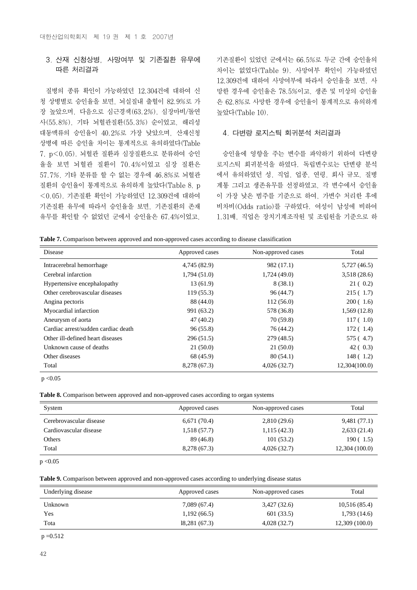## 3. 산재 신청상병, 사망여부 및 기존질환 유무에 따른 처리결과

질병의 종류 확인이 가능하였던 12,304건에 대하여 신 청 상병별로 승인율을 보면, 뇌실질내 출혈이 82.9%로 가 장 높았으며, 다음으로 심근경색(63.2%), 심장마비/돌연 사(55.8%), 기타 뇌혈관질환(55.3%) 순이었고, 해리성 대동맥류의 승인율이 40.2%로 가장 낮았으며, 산재신청 상병에 따른 승인율 차이는 통계적으로 유의하였다(Table 7, p<0.05). 뇌혈관 질환과 심장질환으로 분류하여 승인 율을 보면 뇌혈관 질환이 70.4%이었고 심장 질환은 57.7%, 기타 분류를 할 수 없는 경우에 46.8%로 뇌혈관 질환의 승인율이 통계적으로 유의하게 높았다(Table 8, p <0.05). 기존질환 확인이 가능하였던 12,309건에 대하여 기존질환 유무에 따라서 승인율을 보면, 기존질환의 존재 유무를 확인할 수 없었던 군에서 승인율은 67.4%이었고,

기존질환이 있었던 군에서는 66.5%로 두군 간에 승인율의 차이는 없었다(Table 9). 사망여부 확인이 가능하였던 12,309건에 대하여 사망여부에 따라서 승인율을 보면, 사 망한 경우에 승인율은 78.5%이고, 생존 및 미상의 승인율 은 62.8%로 사망한 경우에 승인율이 통계적으로 유의하게 높았다(Table 10).

#### 4. 다변량 로지스틱 회귀분석 처리결과

승인율에 영향을 주는 변수를 파악하기 위하여 다변량 로지스틱 회귀분석을 하였다. 독립변수로는 단변량 분석 에서 유의하였던 성, 직업, 업종, 연령, 회사 규모, 질병 계통 그리고 생존유무를 선정하였고, 각 변수에서 승인율 이 가장 낮은 범주를 기준으로 하여, 가변수 처리한 후에 비차비(Odds ratio)를 구하였다. 여성이 남성에 비하여 1.31배, 직업은 장치기계조작원 및 조립원을 기준으로 하

**Table 7.** Comparison between approved and non-approved cases according to disease classification

| Disease                             | Approved cases | Non-approved cases | Total         |
|-------------------------------------|----------------|--------------------|---------------|
| Intracerebral hemorrhage            | 4,745 (82.9)   | 982 (17.1)         | 5,727 (46.5)  |
| Cerebral infarction                 | 1,794(51.0)    | 1,724(49.0)        | 3,518 (28.6)  |
| Hypertensive encephalopathy         | 13(61.9)       | 8(38.1)            | 21(0.2)       |
| Other cerebrovascular diseases      | 119(55.3)      | 96(44.7)           | 215(1.7)      |
| Angina pectoris                     | 88 (44.0)      | 112(56.0)          | 200(1.6)      |
| Myocardial infarction               | 991 (63.2)     | 578 (36.8)         | 1,569(12.8)   |
| Aneurysm of aorta                   | 47(40.2)       | 70(59.8)           | 117(1.0)      |
| Cardiac arrest/sudden cardiac death | 96(55.8)       | 76 (44.2)          | 172(1.4)      |
| Other ill-defined heart diseases    | 296(51.5)      | 279 (48.5)         | 575 (4.7)     |
| Unknown cause of deaths             | 21(50.0)       | 21(50.0)           | 42(0.3)       |
| Other diseases                      | 68 (45.9)      | 80(54.1)           | 148(1.2)      |
| Total                               | 8,278 (67.3)   | 4,026(32.7)        | 12,304(100.0) |

 $p < 0.05$ 

**Table 8.** Comparison between approved and non-approved cases according to organ systems

| System                  | Approved cases | Non-approved cases | Total         |
|-------------------------|----------------|--------------------|---------------|
| Cerebrovascular disease | 6,671(70.4)    | 2,810(29.6)        | 9,481(77.1)   |
| Cardiovascular disease  | 1,518(57.7)    | 1,115(42.3)        | 2,633(21.4)   |
| Others                  | 89 (46.8)      | 101(53.2)          | 190(1.5)      |
| Total                   | 8,278 (67.3)   | 4,026(32.7)        | 12,304(100.0) |

 $p < 0.05$ 

**Table 9.** Comparison between approved and non-approved cases according to underlying disease status

| Underlying disease | Approved cases | Non-approved cases | Total         |
|--------------------|----------------|--------------------|---------------|
| Unknown            | 7,089 (67.4)   | 3,427 (32.6)       | 10,516(85.4)  |
| Yes                | 1,192(66.5)    | 601 (33.5)         | 1,793(14.6)   |
| Tota               | 18,281(67.3)   | 4,028(32.7)        | 12,309(100.0) |

 $p = 0.512$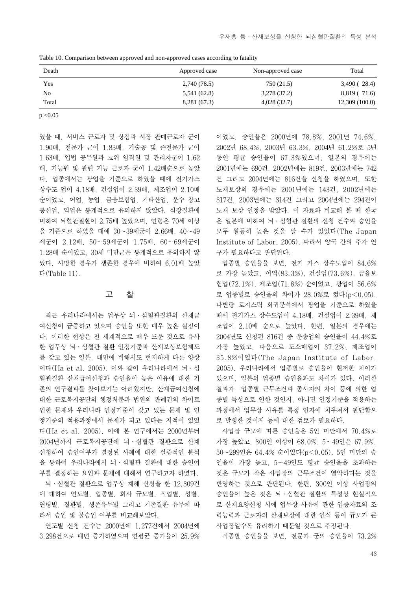Table 10. Comparison between approved and non-approved cases according to fatality

| Death | Approved case | Non-approved case | Total         |
|-------|---------------|-------------------|---------------|
| Yes   | 2,740 (78.5)  | 750 (21.5)        | 3,490(28.4)   |
| No    | 5,541 (62.8)  | 3,278 (37.2)      | 8,819 (71.6)  |
| Total | 8,281 (67.3)  | 4,028(32.7)       | 12,309(100.0) |

 $p < 0.05$ 

였을 때, 서비스 근로자 및 상점과 시장 판매근로자 군이 1.90배, 전문가 군이 1.83배, 기술공 및 준전문가 군이 1.63배, 입법 공무원과 고위 임직원 및 관리자군이 1.62 배, 기능원 및 관련 기능 근로자 군이 1.42배순으로 높았 다. 업종에서는 광업을 기준으로 하였을 때에 전기가스 상수도 업이 4.18배, 건설업이 2.39배, 제조업이 2.10배 순이었고, 어업, 농업, 금융보험업, 기타산업, 운수 창고 통신업, 임업은 통계적으로 유의하지 않았다. 심장질환에 비하여 뇌혈관질환이 2.75배 높았으며, 연령은 70세 이상 을 기준으로 하였을 때에 30~39세군이 2.66배, 40~49 세군이 2.12배, 50~59세군이 1.75배, 60~69세군이 1.28배 순이었고, 30세 미만군은 통계적으로 유의하지 않 았다. 사망한 경우가 생존한 경우에 비하여 6.01배 높았 다(Table 11).

#### 고 찰

최근 우리나라에서는 업무상 뇌∙심혈관질환의 산재급 여신청이 급증하고 있으며 승인율 또한 매우 높은 실정이 다. 이러한 현상은 전 세계적으로 매우 드문 것으로 유사 한 업무상 뇌∙심혈관 질환 인정기준과 산재보상보험제도 를 갖고 있는 일본, 대만에 비해서도 현저하게 다른 양상 이다(Ha et al, 2005). 이와 같이 우리나라에서 뇌∙심 혈관질환 산재급여신청과 승인율이 높은 이유에 대한 기 존의 연구결과를 찾아보기는 어려웠지만, 산재급여신청에 대한 근로복지공단의 행정처분과 법원의 판례간의 차이로 인한 문제와 우리나라 인정기준이 갖고 있는 문제 및 인 정기준의 적용과정에서 문제가 되고 있다는 지적이 있었 다(Ha et al, 2005). 이에 본 연구에서는 2000년부터 2004년까지 근로복지공단에 뇌∙심혈관 질환으로 산재 신청하여 승인여부가 결정된 사례에 대한 실증적인 분석 을 통하여 우리나라에서 뇌∙심혈관 질환에 대한 승인여 부를 결정하는 요인과 문제에 대해서 연구하고자 하였다.

뇌∙심혈관 질환으로 업무상 재해 신청을 한 12,309건 에 대하여 연도별, 업종별, 회사 규모별, 직업별, 성별, 연령별, 질환별, 생존유무별 그리고 기존질환 유무에 따 라서 승인 및 불승인 여부를 비교해보았다.

연도별 신청 건수는 2000년에 1,277건에서 2004년에 3,298건으로 매년 증가하였으며 연평균 증가율이 25.9%

이었고, 승인율은 2000년에 78.8%, 2001년 74.6%, 2002년 68.4%, 2003년 63.3%, 2004년 61.2%로 5년 동안 평균 승인율이 67.3%였으며, 일본의 경우에는 2001년에는 690건, 2002년에는 819건, 2003년에는 742 건 그리고 2004년에는 816건을 신청을 하였으며, 또한 노재보상의 경우에는 2001년에는 143건, 2002년에는 317건, 2003년에는 314건 그리고 2004년에는 294건이 노재 보상 인정을 받았다. 이 자료와 비교해 볼 때 한국 은 일본에 비하여 뇌∙심혈관 질환의 신청 건수와 승인율 모두 월등히 높은 것을 알 수가 있었다(The Japan Institute of Labor, 2005). 따라서 양국 간의 추가 연 구가 필요하다고 판단된다.

업종별 승인율을 보면, 전기 가스 상수도업이 84.6% 로 가장 높았고, 어업(83.3%), 건설업(73.6%), 금융보 험업(72.1%), 제조업(71.8%) 순이었고, 광업이 56.6% 로 업종별로 승인율의 차이가 28.0%로 컸다(p<0.05). 다변량 로지스틱 회귀분석에서 광업을 기준으로 하였을 때에 전기가스 상수도업이 4.18배, 건설업이 2.39배, 제 조업이 2.10배 순으로 높았다. 한편, 일본의 경우에는 2004년도 신청된 816건 중 운송업의 승인율이 44.4%로 가장 높았고, 다음으로 도소매업이 37.2%, 제조업이 35.8%이었다(The Japan Institute of Labor, 2005). 우리나라에서 업종별로 승인율이 현저한 차이가 있으며, 일본의 업종별 승인율과도 차이가 있다. 이러한 결과가 업종별 근무조건과 종사자의 차이 등에 의한 업 종별 특성으로 인한 것인지, 아니면 인정기준을 적용하는 과정에서 업무상 사유를 특정 인자에 치우쳐서 판단함으 로 발생한 것이지 등에 대한 검토가 필요하다.

사업장 규모에 따른 승인율은 5인 미만에서 70.4%로 가장 높았고, 300인 이상이 68.0%, 5~49인은 67.9%, 50~299인은 64.4% 순이었다(p<0.05). 5인 미만의 승 인율이 가장 높고, 5~49인도 평균 승인율을 초과하는 것은 규모가 작은 사업장의 근무조건이 열악하다는 것을 반영하는 것으로 판단된다. 한편, 300인 이상 사업장의 승인율이 높은 것은 뇌∙심혈관 질환의 특성상 현실적으 로 산재요양신청 시에 업무상 사유에 관한 입증자료의 조 력능력과 근로자의 산재보상에 대한 인식 등이 규모가 큰 사업장일수록 유리하기 때문일 것으로 추정된다.

직종별 승인율을 보면, 전문가 군의 승인율이 73.2%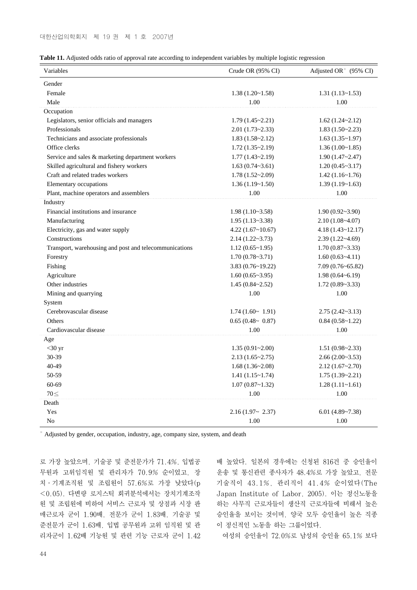|  | <b>Table 11.</b> Adjusted odds ratio of approval rate according to independent variables by multiple logistic regression |  |  |
|--|--------------------------------------------------------------------------------------------------------------------------|--|--|
|  |                                                                                                                          |  |  |

| Variables                                              | Crude OR $(95\% \text{ CI})$ | Adjusted OR <sup>*</sup> $(95\% \text{ CI})$ |  |
|--------------------------------------------------------|------------------------------|----------------------------------------------|--|
| Gender                                                 |                              |                                              |  |
| Female                                                 | 1.38(1.20~1.58)              | 1.31(1.13~1.53)                              |  |
| Male                                                   | 1.00                         | 1.00                                         |  |
| Occupation                                             |                              |                                              |  |
| Legislators, senior officials and managers             | $1.79(1.45 \times 2.21)$     | $1.62(1.24 \times 2.12)$                     |  |
| Professionals                                          | $2.01(1.73 \times 2.33)$     | 1.83(1.50~2.23)                              |  |
| Technicians and associate professionals                | $1.83(1.58-2.12)$            | 1.63(1.35~1.97)                              |  |
| Office clerks                                          | 1.72(1.35~2.19)              | 1.36(1.00~1.85)                              |  |
| Service and sales & marketing department workers       | $1.77(1.43 \times 2.19)$     | 1.90(1.47~2.47)                              |  |
| Skilled agricultural and fishery workers               | 1.63(0.74~3.61)              | 1.20(0.45~3.17)                              |  |
| Craft and related trades workers                       | $1.78(1.52 \times 2.09)$     | 1.42(1.16~1.76)                              |  |
| Elementary occupations                                 | 1.36(1.19~1.50)              | 1.39(1.19~1.63)                              |  |
| Plant, machine operators and assemblers                | 1.00                         | 1.00                                         |  |
| Industry                                               |                              |                                              |  |
| Financial institutions and insurance                   | $1.98(1.10-3.58)$            | 1.90(0.92~3.90)                              |  |
| Manufacturing                                          | $1.95(1.13-3.38)$            | $2.10(1.08-4.07)$                            |  |
| Electricity, gas and water supply                      | 4.22(1.67~10.67)             | $4.18(1.43 \times 12.17)$                    |  |
| Constructions                                          | $2.14(1.22 \times 3.73)$     | $2.39(1.22-4.69)$                            |  |
| Transport, warehousing and post and telecommunications | $1.12(0.65 \times 1.95)$     | 1.70(0.87~3.33)                              |  |
| Forestry                                               | 1.70(0.78~3.71)              | 1.60(0.63~4.11)                              |  |
| Fishing                                                | $3.83(0.76 \times 19.22)$    | 7.09(0.76~65.82)                             |  |
| Agriculture                                            | 1.60(0.65~3.95)              | $1.98(0.64-6.19)$                            |  |
| Other industries                                       | 1.45(0.84~2.52)              | 1.72(0.89~3.33)                              |  |
| Mining and quarrying                                   | 1.00                         | 1.00                                         |  |
| System                                                 |                              |                                              |  |
| Cerebrovascular disease                                | $1.74(1.60 \sim 1.91)$       | $2.75(2.42-3.13)$                            |  |
| Others                                                 | $0.65(0.48 \sim 0.87)$       | 0.84(0.58~1.22)                              |  |
| Cardiovascular disease                                 | 1.00                         | 1.00                                         |  |
| Age                                                    |                              |                                              |  |
| $<$ 30 yr                                              | 1.35(0.91~2.00)              | 1.51(0.98~2.33)                              |  |
| 30-39                                                  | 2.13(1.65~2.75)              | 2.66(2.00~3.53)                              |  |
| 40-49                                                  | 1.68(1.36~2.08)              | 2.12(1.67~2.70)                              |  |
| 50-59                                                  | 1.41(1.15~1.74)              | 1.75(1.39~2.21)                              |  |
| 60-69                                                  | 1.07(0.87~1.32)              | $1.28(1.11~-1.61)$                           |  |
| $70 \leq$                                              | 1.00                         | 1.00                                         |  |
| Death                                                  |                              |                                              |  |
| Yes                                                    | $2.16(1.97 \sim 2.37)$       | 6.01 $(4.89 - 7.38)$                         |  |
| N <sub>0</sub>                                         | 1.00                         | 1.00                                         |  |

※ Adjusted by gender, occupation, industry, age, company size, system, and death

로 가장 높았으며, 기술공 및 준전문가가 71.4%, 입법공 무원과 고위임직원 및 관리자가 70.9% 순이었고, 장 치∙기계조직원 및 조립원이 57.6%로 가장 낮았다(p <0.05). 다변량 로지스틱 회귀분석에서는 장치기계조작 원 및 조립원에 비하여 서비스 근로자 및 상점과 시장 판 매근로자 군이 1.90배, 전문가 군이 1.83배, 기술공 및 준전문가 군이 1.63배, 입법 공무원과 고위 임직원 및 관 리자군이 1.62배 기능원 및 관련 기능 근로자 군이 1.42

배 높았다. 일본의 경우에는 신청된 816건 중 승인율이 운송 및 통신관련 종사자가 48.4%로 가장 높았고, 전문 기술직이 43.1%, 관리직이 41.4% 순이었다(The Japan Institute of Labor, 2005). 이는 정신노동을 하는 사무직 근로자들이 생산직 근로자들에 비해서 높은 승인율을 보이는 것이며, 양국 모두 승인율이 높은 직종 이 정신적인 노동을 하는 그룹이었다.

여성의 승인율이 72.0%로 남성의 승인율 65.1% 보다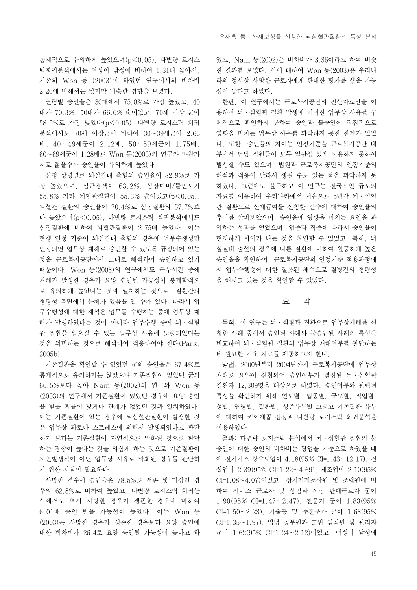통계적으로 유의하게 높았으며(p<0.05), 다변량 로지스 틱회귀분석에서는 여성이 남성에 비하여 1.31배 높아서, 기존의 Won 등 (2003)이 하였던 연구에서의 비차비 2.20에 비해서는 낮지만 비슷한 경향을 보였다.

연령별 승인율은 30대에서 75.0%로 가장 높았고, 40 대가 70.3%, 50대가 66.6% 순이었고, 70세 이상 군이 58.5%로 가장 낮았다(p<0.05). 다변량 로지스틱 회귀 분석에서도 70세 이상군에 비하여 30~39세군이 2.66 배, 40~49세군이 2.12배, 50~59세군이 1.75배, 60~69세군이 1.28배로 Won 등(2003)의 연구와 마찬가 지로 젊을수록 승인율이 유의하게 높았다.

신청 상병별로 뇌실질내 출혈의 승인율이 82.9%로 가 장 높았으며, 심근경색이 63.2%, 심장마비/돌연사가 55.8% 기타 뇌혈관질환이 55.3% 순이었고(p<0.05), 뇌혈관 질환의 승인율이 70.4%로 심장질환의 57.7%보 다 높았으며(p<0.05), 다변량 로지스틱 회귀분석에서도 심장질환에 비하여 뇌혈관질환이 2.75배 높았다. 이는 현행 인정 기준이 뇌실질내 출혈의 경우에 업무수행성만 인정되면 업무상 재해로 승인할 수 있도록 규정되어 있는 것을 근로복지공단에서 그대로 해석하여 승인하고 있기 때문이다. Won 등(2003)의 연구에서도 근무시간 중에 재해가 발생한 경우가 요양 승인될 가능성이 통계학적으 로 유의하게 높았다는 것과 일치하는 것으로, 질환간의 형평성 측면에서 문제가 있음을 알 수가 있다. 따라서 업 무수행성에 대한 해석은 업무를 수행하는 중에 업무상 재 해가 발생하였다는 것이 아니라 업무수행 중에 뇌∙심혈 관 질환을 일으킬 수 있는 업무상 사유에 노출되었다는 것을 의미하는 것으로 해석하여 적용하여야 한다(Park, 2005b).

기존질환을 확인할 수 없었던 군의 승인율은 67.4%로 통계적으로 유의하지는 않았으나 기존질환이 있었던 군의 66.5%보다 높아 Nam 등(2002)의 연구와 Won 등 (2003)의 연구에서 기존질환이 있었던 경우에 요양 승인 을 받을 확률이 낮거나 관계가 없었던 것과 일치하였다. 이는 기존질환이 있는 경우에 뇌심혈관질환이 발생한 것 은 업무상 과로나 스트레스에 의해서 발생되었다고 판단 하기 보다는 기존질환이 자연적으로 악화된 것으로 판단 하는 경향이 높다는 것을 의심케 하는 것으로 기존질환이 자연발생적이 아닌 업무상 사유로 악화된 경우를 판단하 기 위한 지침이 필요하다.

사망한 경우에 승인율은 78.5%로 생존 및 미상인 경 우의 62.8%로 비하여 높았고, 다변량 로지스틱 회귀분 석에서도 역시 사망한 경우가 생존한 경우에 비하여 6.01배 승인 받을 가능성이 높았다. 이는 Won 등 (2003)은 사망한 경우가 생존한 경우보다 요양 승인에 대한 비차비가 26.4로 요양 승인될 가능성이 높다고 하 였고, Nam 등(2002)은 비차비가 3.36이라고 하여 비슷 한 결과를 보였다. 이에 대하여 Won 등(2003)은 우리나 라의 정서상 사망한 근로자에게 관대한 평가를 했을 가능 성이 높다고 하였다.

한편, 이 연구에서는 근로복지공단의 전산자료만을 이 용하여 뇌∙심혈관 질환 발생에 기여한 업무상 사유를 구 체적으로 확인하지 못하여 승인과 불승인에 직접적으로 영향을 미치는 업무상 사유를 파악하지 못한 한계가 있었 다. 또한, 승인률의 차이는 인정기준을 근로복지공단 내 부에서 담당 직원들이 모두 일관성 있게 적용하지 못하여 발생할 수도 있으며, 법원과 근로복지공단의 인정기준의 해석과 적용이 달라서 생길 수도 있는 점을 파악하지 못 하였다. 그럼에도 불구하고 이 연구는 전국적인 규모의 자료를 이용하여 우리나라에서 처음으로 5년간 뇌∙심혈 관 질환으로 산재급여를 신청한 건수에 대하여 승인율의 추이를 살펴보았으며, 승인율에 영향을 미치는 요인을 파 악하는 성과를 얻었으며, 업종과 직종에 따라서 승인율이 현저하게 차이가 나는 것을 확인할 수 있었고, 특히, 뇌 실질내 출혈의 경우에 다른 질환에 비하여 월등하게 높은 승인율을 확인하여, 근로복지공단의 인정기준 적용과정에 서 업무수행성에 대한 잘못된 해석으로 질병간의 형평성 을 해치고 있는 것을 확인할 수 있었다.

#### 요 약

목적: 이 연구는 뇌∙심혈관 질환으로 업무상재해를 신 청한 사례 중에서 승인된 사례와 불승인된 사례의 특성을 비교하여 뇌∙심혈관 질환의 업무상 재해여부를 판단하는 데 필요한 기초 자료를 제공하고자 한다.

방법: 2000년부터 2004년까지 근로복지공단에 업무상 재해로 요양이 신청되어 승인여부가 결정된 뇌∙심혈관 질환자 12,309명을 대상으로 하였다. 승인여부와 관련된 특성을 확인하기 위해 연도별, 업종별, 규모별, 직업별, 성별, 연령별, 질환별, 생존유무별 그리고 기존질환 유무 에 대하여 카이제곱 검정과 다변량 로지스틱 회귀분석을 이용하였다.

결과: 다변량 로지스틱 분석에서 뇌∙심혈관 질환의 불 승인에 대한 승인의 비차비는 광업을 기준으로 하였을 때 에 전기가스 상수도업이 4.18(95% CI=1.43~12.17), 건 설업이 2.39(95% CI=1.22~4.69), 제조업이 2.10(95% CI=1.08~4.07)이었고, 장치기계조작원 및 조립원에 비 하여 서비스 근로자 및 상점과 시장 판매근로자 군이 1.90(95% CI=1.47~2.47), 전문가 군이 1.83(95% CI=1.50~2.23), 기술공 및 준전문가 군이 1.63(95% CI=1.35~1.97), 입법 공무원과 고위 임직원 및 관리자 군이 1.62(95% CI=1.24~2.12)이었고, 여성이 남성에